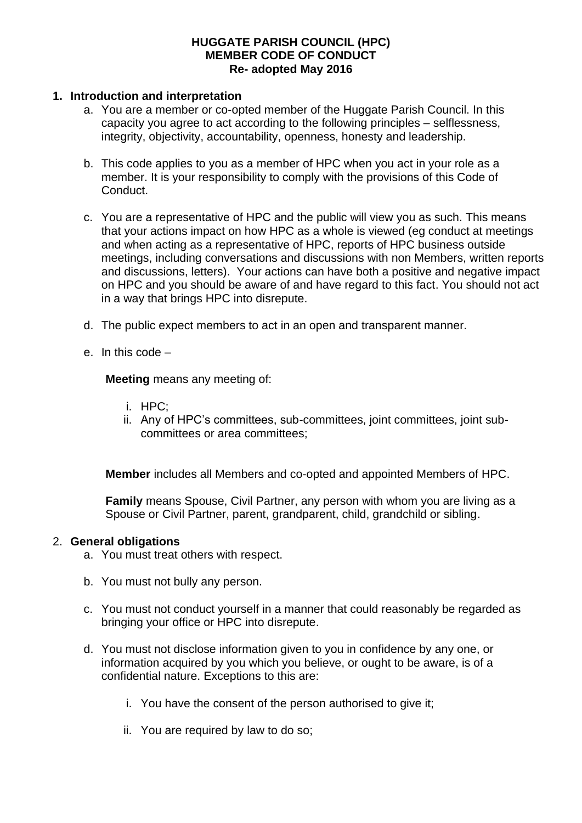### **HUGGATE PARISH COUNCIL (HPC) MEMBER CODE OF CONDUCT Re- adopted May 2016**

### **1. Introduction and interpretation**

- a. You are a member or co-opted member of the Huggate Parish Council. In this capacity you agree to act according to the following principles – selflessness, integrity, objectivity, accountability, openness, honesty and leadership.
- b. This code applies to you as a member of HPC when you act in your role as a member. It is your responsibility to comply with the provisions of this Code of Conduct.
- c. You are a representative of HPC and the public will view you as such. This means that your actions impact on how HPC as a whole is viewed (eg conduct at meetings and when acting as a representative of HPC, reports of HPC business outside meetings, including conversations and discussions with non Members, written reports and discussions, letters). Your actions can have both a positive and negative impact on HPC and you should be aware of and have regard to this fact. You should not act in a way that brings HPC into disrepute.
- d. The public expect members to act in an open and transparent manner.
- e. In this code –

**Meeting** means any meeting of:

- i. HPC;
- ii. Any of HPC's committees, sub-committees, joint committees, joint subcommittees or area committees;

**Member** includes all Members and co-opted and appointed Members of HPC.

**Family** means Spouse, Civil Partner, any person with whom you are living as a Spouse or Civil Partner, parent, grandparent, child, grandchild or sibling.

#### 2. **General obligations**

- a. You must treat others with respect.
- b. You must not bully any person.
- c. You must not conduct yourself in a manner that could reasonably be regarded as bringing your office or HPC into disrepute.
- d. You must not disclose information given to you in confidence by any one, or information acquired by you which you believe, or ought to be aware, is of a confidential nature. Exceptions to this are:
	- i. You have the consent of the person authorised to give it;
	- ii. You are required by law to do so;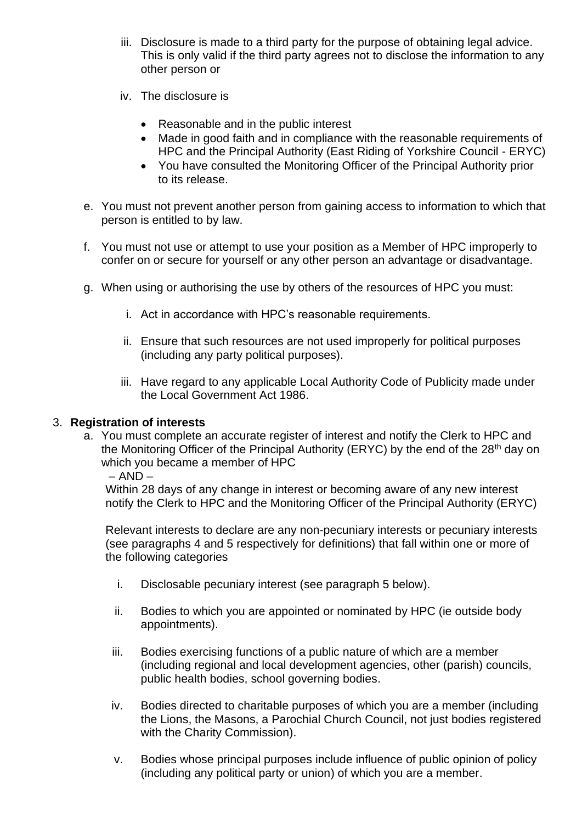- iii. Disclosure is made to a third party for the purpose of obtaining legal advice. This is only valid if the third party agrees not to disclose the information to any other person or
- iv. The disclosure is
	- Reasonable and in the public interest
	- Made in good faith and in compliance with the reasonable requirements of HPC and the Principal Authority (East Riding of Yorkshire Council - ERYC)
	- You have consulted the Monitoring Officer of the Principal Authority prior to its release.
- e. You must not prevent another person from gaining access to information to which that person is entitled to by law.
- f. You must not use or attempt to use your position as a Member of HPC improperly to confer on or secure for yourself or any other person an advantage or disadvantage.
- g. When using or authorising the use by others of the resources of HPC you must:
	- i. Act in accordance with HPC's reasonable requirements.
	- ii. Ensure that such resources are not used improperly for political purposes (including any party political purposes).
	- iii. Have regard to any applicable Local Authority Code of Publicity made under the Local Government Act 1986.

### 3. **Registration of interests**

a. You must complete an accurate register of interest and notify the Clerk to HPC and the Monitoring Officer of the Principal Authority (ERYC) by the end of the 28<sup>th</sup> day on which you became a member of HPC

### $-$  AND  $-$

Within 28 days of any change in interest or becoming aware of any new interest notify the Clerk to HPC and the Monitoring Officer of the Principal Authority (ERYC)

Relevant interests to declare are any non-pecuniary interests or pecuniary interests (see paragraphs 4 and 5 respectively for definitions) that fall within one or more of the following categories

- i. Disclosable pecuniary interest (see paragraph 5 below).
- ii. Bodies to which you are appointed or nominated by HPC (ie outside body appointments).
- iii. Bodies exercising functions of a public nature of which are a member (including regional and local development agencies, other (parish) councils, public health bodies, school governing bodies.
- iv. Bodies directed to charitable purposes of which you are a member (including the Lions, the Masons, a Parochial Church Council, not just bodies registered with the Charity Commission).
- v. Bodies whose principal purposes include influence of public opinion of policy (including any political party or union) of which you are a member.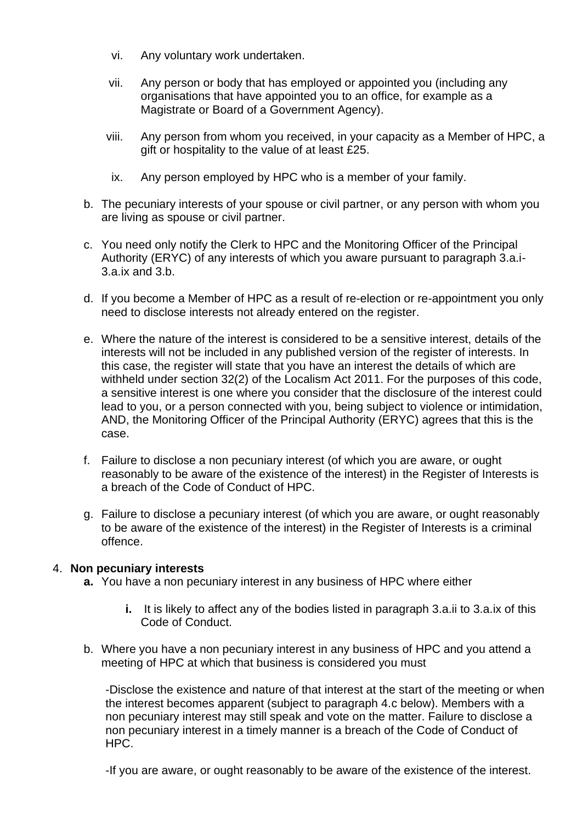- vi. Any voluntary work undertaken.
- vii. Any person or body that has employed or appointed you (including any organisations that have appointed you to an office, for example as a Magistrate or Board of a Government Agency).
- viii. Any person from whom you received, in your capacity as a Member of HPC, a gift or hospitality to the value of at least £25.
- ix. Any person employed by HPC who is a member of your family.
- b. The pecuniary interests of your spouse or civil partner, or any person with whom you are living as spouse or civil partner.
- c. You need only notify the Clerk to HPC and the Monitoring Officer of the Principal Authority (ERYC) of any interests of which you aware pursuant to paragraph 3.a.i-3.a.ix and 3.b.
- d. If you become a Member of HPC as a result of re-election or re-appointment you only need to disclose interests not already entered on the register.
- e. Where the nature of the interest is considered to be a sensitive interest, details of the interests will not be included in any published version of the register of interests. In this case, the register will state that you have an interest the details of which are withheld under section 32(2) of the Localism Act 2011. For the purposes of this code, a sensitive interest is one where you consider that the disclosure of the interest could lead to you, or a person connected with you, being subject to violence or intimidation, AND, the Monitoring Officer of the Principal Authority (ERYC) agrees that this is the case.
- f. Failure to disclose a non pecuniary interest (of which you are aware, or ought reasonably to be aware of the existence of the interest) in the Register of Interests is a breach of the Code of Conduct of HPC.
- g. Failure to disclose a pecuniary interest (of which you are aware, or ought reasonably to be aware of the existence of the interest) in the Register of Interests is a criminal offence.

### 4. **Non pecuniary interests**

- **a.** You have a non pecuniary interest in any business of HPC where either
	- **i.** It is likely to affect any of the bodies listed in paragraph 3.a.ii to 3.a.ix of this Code of Conduct.
- b. Where you have a non pecuniary interest in any business of HPC and you attend a meeting of HPC at which that business is considered you must

-Disclose the existence and nature of that interest at the start of the meeting or when the interest becomes apparent (subject to paragraph 4.c below). Members with a non pecuniary interest may still speak and vote on the matter. Failure to disclose a non pecuniary interest in a timely manner is a breach of the Code of Conduct of HPC.

-If you are aware, or ought reasonably to be aware of the existence of the interest.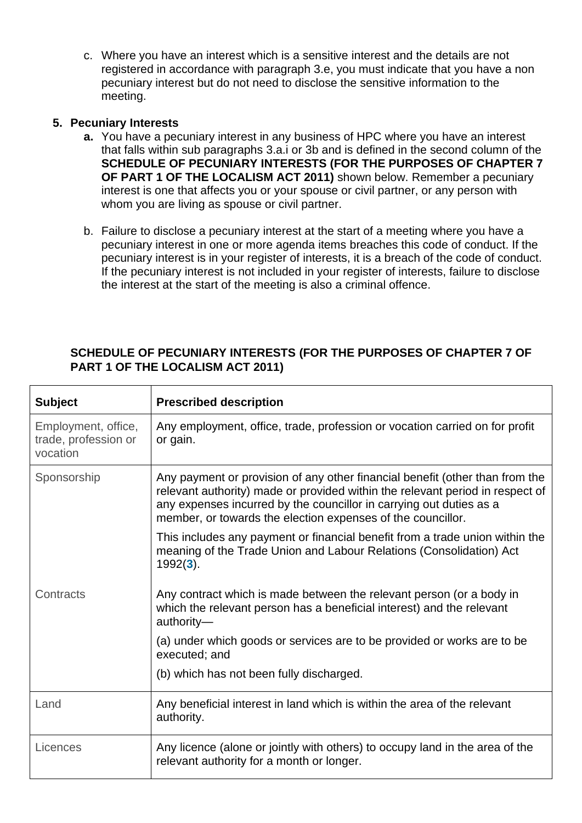c. Where you have an interest which is a sensitive interest and the details are not registered in accordance with paragraph 3.e, you must indicate that you have a non pecuniary interest but do not need to disclose the sensitive information to the meeting.

## **5. Pecuniary Interests**

- **a.** You have a pecuniary interest in any business of HPC where you have an interest that falls within sub paragraphs 3.a.i or 3b and is defined in the second column of the **SCHEDULE OF PECUNIARY INTERESTS (FOR THE PURPOSES OF CHAPTER 7 OF PART 1 OF THE LOCALISM ACT 2011)** shown below. Remember a pecuniary interest is one that affects you or your spouse or civil partner, or any person with whom you are living as spouse or civil partner.
- b. Failure to disclose a pecuniary interest at the start of a meeting where you have a pecuniary interest in one or more agenda items breaches this code of conduct. If the pecuniary interest is in your register of interests, it is a breach of the code of conduct. If the pecuniary interest is not included in your register of interests, failure to disclose the interest at the start of the meeting is also a criminal offence.

# **SCHEDULE OF PECUNIARY INTERESTS (FOR THE PURPOSES OF CHAPTER 7 OF PART 1 OF THE LOCALISM ACT 2011)**

| <b>Subject</b>                                          | <b>Prescribed description</b>                                                                                                                                                                                                                                                                       |
|---------------------------------------------------------|-----------------------------------------------------------------------------------------------------------------------------------------------------------------------------------------------------------------------------------------------------------------------------------------------------|
| Employment, office,<br>trade, profession or<br>vocation | Any employment, office, trade, profession or vocation carried on for profit<br>or gain.                                                                                                                                                                                                             |
| Sponsorship                                             | Any payment or provision of any other financial benefit (other than from the<br>relevant authority) made or provided within the relevant period in respect of<br>any expenses incurred by the councillor in carrying out duties as a<br>member, or towards the election expenses of the councillor. |
|                                                         | This includes any payment or financial benefit from a trade union within the<br>meaning of the Trade Union and Labour Relations (Consolidation) Act<br>$1992(3)$ .                                                                                                                                  |
| Contracts                                               | Any contract which is made between the relevant person (or a body in<br>which the relevant person has a beneficial interest) and the relevant<br>authority-                                                                                                                                         |
|                                                         | (a) under which goods or services are to be provided or works are to be<br>executed; and                                                                                                                                                                                                            |
|                                                         | (b) which has not been fully discharged.                                                                                                                                                                                                                                                            |
| Land                                                    | Any beneficial interest in land which is within the area of the relevant<br>authority.                                                                                                                                                                                                              |
| Licences                                                | Any licence (alone or jointly with others) to occupy land in the area of the<br>relevant authority for a month or longer.                                                                                                                                                                           |